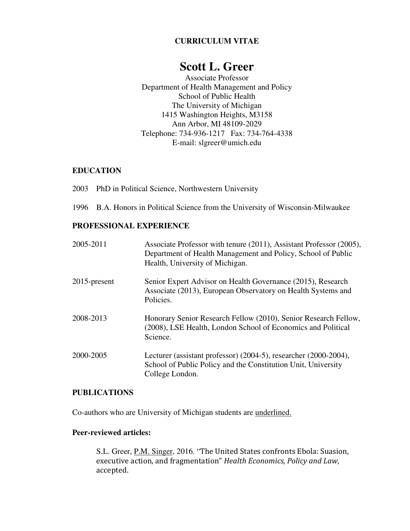## **CURRICULUM VITAE**

# **Scott L. Greer**

Associate Professor Department of Health Management and Policy School of Public Health The University of Michigan 1415 Washington Heights, M3158 Ann Arbor, MI 48109-2029 Telephone: 734-936-1217 Fax: 734-764-4338 E-mail: slgreer@umich.edu

### **EDUCATION**

2003 PhD in Political Science, Northwestern University

1996 B.A. Honors in Political Science from the University of Wisconsin-Milwaukee

## **PROFESSIONAL EXPERIENCE**

| 2005-2011       | Associate Professor with tenure (2011), Assistant Professor (2005),<br>Department of Health Management and Policy, School of Public<br>Health, University of Michigan. |
|-----------------|------------------------------------------------------------------------------------------------------------------------------------------------------------------------|
| $2015$ -present | Senior Expert Advisor on Health Governance (2015), Research<br>Associate (2013), European Observatory on Health Systems and<br>Policies.                               |
| 2008-2013       | Honorary Senior Research Fellow (2010), Senior Research Fellow,<br>(2008), LSE Health, London School of Economics and Political<br>Science.                            |
| 2000-2005       | Lecturer (assistant professor) $(2004-5)$ , researcher $(2000-2004)$ ,<br>School of Public Policy and the Constitution Unit, University<br>College London.             |

### **PUBLICATIONS**

Co-authors who are University of Michigan students are underlined.

## **Peer-reviewed articles:**

S.L. Greer, P.M. Singer, 2016. "The United States confronts Ebola: Suasion, executive action, and fragmentation" Health Economics, Policy and Law, accepted.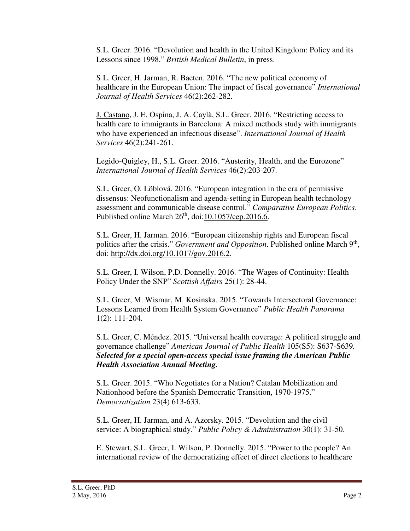S.L. Greer. 2016. "Devolution and health in the United Kingdom: Policy and its Lessons since 1998." *British Medical Bulletin*, in press.

S.L. Greer, H. Jarman, R. Baeten. 2016. "The new political economy of healthcare in the European Union: The impact of fiscal governance" *International Journal of Health Services* 46(2):262-282.

J. Castano, J. E. Ospina, J. A. Caylà, S.L. Greer. 2016. "Restricting access to health care to immigrants in Barcelona: A mixed methods study with immigrants who have experienced an infectious disease". *International Journal of Health Services* 46(2):241-261.

Legido-Quigley, H., S.L. Greer. 2016. "Austerity, Health, and the Eurozone" *International Journal of Health Services* 46(2):203-207.

S.L. Greer, O. Löblová. 2016. "European integration in the era of permissive dissensus: Neofunctionalism and agenda-setting in European health technology assessment and communicable disease control." *Comparative European Politics*. Published online March 26<sup>th</sup>, doi:10.1057/cep.2016.6.

S.L. Greer, H. Jarman. 2016. "European citizenship rights and European fiscal politics after the crisis." *Government and Opposition*. Published online March 9<sup>th</sup>, doi: http://dx.doi.org/10.1017/gov.2016.2.

S.L. Greer, I. Wilson, P.D. Donnelly. 2016. "The Wages of Continuity: Health Policy Under the SNP" *Scottish Affairs* 25(1): 28-44.

S.L. Greer, M. Wismar, M. Kosinska. 2015. "Towards Intersectoral Governance: Lessons Learned from Health System Governance" *Public Health Panorama* 1(2): 111-204.

S.L. Greer, C. Méndez. 2015. "Universal health coverage: A political struggle and governance challenge" *American Journal of Public Health* 105(S5): S637-S639*. Selected for a special open-access special issue framing the American Public Health Association Annual Meeting.*

S.L. Greer. 2015. "Who Negotiates for a Nation? Catalan Mobilization and Nationhood before the Spanish Democratic Transition, 1970-1975." *Democratization* 23(4) 613-633.

S.L. Greer, H. Jarman, and A. Azorsky. 2015. "Devolution and the civil service: A biographical study." *Public Policy & Administration* 30(1): 31-50.

E. Stewart, S.L. Greer, I. Wilson, P. Donnelly. 2015. "Power to the people? An international review of the democratizing effect of direct elections to healthcare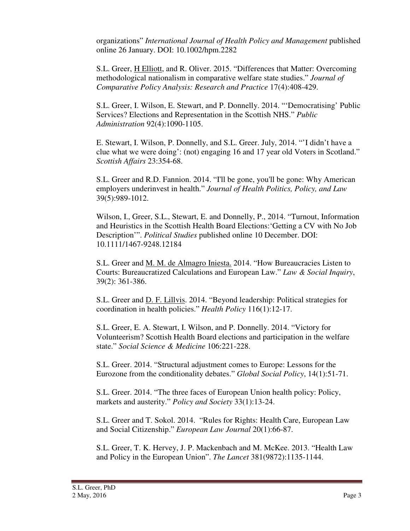organizations" *International Journal of Health Policy and Management* published online 26 January. DOI: 10.1002/hpm.2282

S.L. Greer, H Elliott, and R. Oliver. 2015. "Differences that Matter: Overcoming methodological nationalism in comparative welfare state studies." *Journal of Comparative Policy Analysis: Research and Practice* 17(4):408-429.

S.L. Greer, I. Wilson, E. Stewart, and P. Donnelly. 2014. "'Democratising' Public Services? Elections and Representation in the Scottish NHS." *Public Administration* 92(4):1090-1105.

E. Stewart, I. Wilson, P. Donnelly, and S.L. Greer. July, 2014. "'I didn't have a clue what we were doing': (not) engaging 16 and 17 year old Voters in Scotland." *Scottish Affairs* 23:354-68.

S.L. Greer and R.D. Fannion. 2014. "I'll be gone, you'll be gone: Why American employers underinvest in health." *Journal of Health Politics, Policy, and Law*  39(5):989-1012.

Wilson, I., Greer, S.L., Stewart, E. and Donnelly, P., 2014. "Turnout, Information and Heuristics in the Scottish Health Board Elections:'Getting a CV with No Job Description'". *Political Studies* published online 10 December. DOI: 10.1111/1467-9248.12184

S.L. Greer and M. M. de Almagro Iniesta. 2014. "How Bureaucracies Listen to Courts: Bureaucratized Calculations and European Law." *Law & Social Inquiry*, 39(2): 361-386.

S.L. Greer and D. F. Lillvis. 2014. "Beyond leadership: Political strategies for coordination in health policies." *Health Policy* 116(1):12-17.

S.L. Greer, E. A. Stewart, I. Wilson, and P. Donnelly. 2014. "Victory for Volunteerism? Scottish Health Board elections and participation in the welfare state." *Social Science & Medicine* 106:221-228.

 S.L. Greer. 2014. "Structural adjustment comes to Europe: Lessons for the Eurozone from the conditionality debates." *Global Social Policy*, 14(1):51-71.

 S.L. Greer. 2014. "The three faces of European Union health policy: Policy, markets and austerity." *Policy and Society* 33(1):13-24.

S.L. Greer and T. Sokol. 2014. "Rules for Rights: Health Care, European Law and Social Citizenship." *European Law Journal* 20(1):66-87.

S.L. Greer, T. K. Hervey, J. P. Mackenbach and M. McKee. 2013. "Health Law and Policy in the European Union". *The Lancet* 381(9872):1135-1144.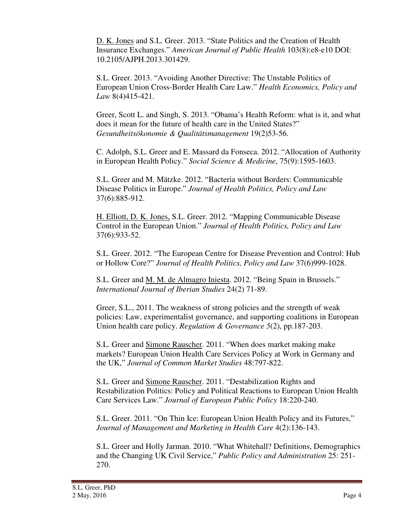D. K. Jones and S.L. Greer. 2013. "State Politics and the Creation of Health Insurance Exchanges." *American Journal of Public Health* 103(8):e8-e10 DOI: 10.2105/AJPH.2013.301429.

S.L. Greer. 2013. "Avoiding Another Directive: The Unstable Politics of European Union Cross-Border Health Care Law." *Health Economics, Policy and Law* 8(4)415-421.

Greer, Scott L. and Singh, S. 2013. "Obama's Health Reform: what is it, and what does it mean for the future of health care in the United States?" *Gesundheitsökonomie & Qualitätsmanagement* 19(2)53-56.

C. Adolph, S.L. Greer and E. Massard da Fonseca. 2012. "Allocation of Authority in European Health Policy." *Social Science & Medicine*, 75(9):1595-1603.

S.L. Greer and M. Mätzke. 2012. "Bacteria without Borders: Communicable Disease Politics in Europe." *Journal of Health Politics, Policy and Law* 37(6):885-912.

H. Elliott, D. K. Jones, S.L. Greer. 2012. "Mapping Communicable Disease Control in the European Union." *Journal of Health Politics, Policy and Law*  37(6):933-52.

S.L. Greer. 2012. "The European Centre for Disease Prevention and Control: Hub or Hollow Core?" *Journal of Health Politics, Policy and Law* 37(6)999-1028.

S.L. Greer and M. M. de Almagro Iniesta. 2012. "Being Spain in Brussels." *International Journal of Iberian Studies* 24(2) 71-89.

Greer, S.L., 2011. The weakness of strong policies and the strength of weak policies: Law, experimentalist governance, and supporting coalitions in European Union health care policy. *Regulation & Governance 5*(2), pp.187-203.

S.L. Greer and Simone Rauscher. 2011. "When does market making make markets? European Union Health Care Services Policy at Work in Germany and the UK," *Journal of Common Market Studies* 48:797-822.

S.L. Greer and Simone Rauscher. 2011. "Destabilization Rights and Restabilization Politics: Policy and Political Reactions to European Union Health Care Services Law." *Journal of European Public Policy* 18:220-240.

S.L. Greer. 2011. "On Thin Ice: European Union Health Policy and its Futures," *Journal of Management and Marketing in Health Care* 4(2):136-143.

S.L. Greer and Holly Jarman. 2010. "What Whitehall? Definitions, Demographics and the Changing UK Civil Service," *Public Policy and Administration* 25: 251- 270.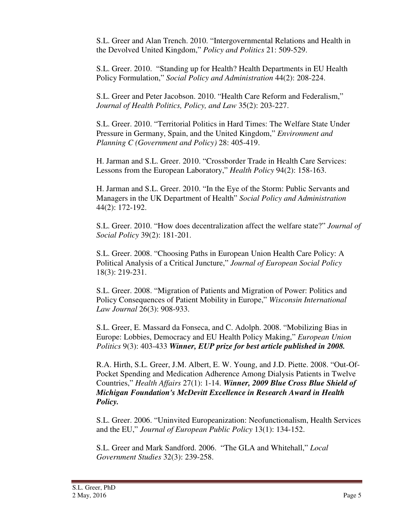S.L. Greer and Alan Trench. 2010. "Intergovernmental Relations and Health in the Devolved United Kingdom," *Policy and Politics* 21: 509-529.

S.L. Greer. 2010. "Standing up for Health? Health Departments in EU Health Policy Formulation," *Social Policy and Administration* 44(2): 208-224.

S.L. Greer and Peter Jacobson. 2010. "Health Care Reform and Federalism," *Journal of Health Politics, Policy, and Law* 35(2): 203-227.

S.L. Greer. 2010. "Territorial Politics in Hard Times: The Welfare State Under Pressure in Germany, Spain, and the United Kingdom," *Environment and Planning C (Government and Policy)* 28: 405-419.

H. Jarman and S.L. Greer. 2010. "Crossborder Trade in Health Care Services: Lessons from the European Laboratory," *Health Policy* 94(2): 158-163.

H. Jarman and S.L. Greer. 2010. "In the Eye of the Storm: Public Servants and Managers in the UK Department of Health" *Social Policy and Administration* 44(2): 172-192.

S.L. Greer. 2010. "How does decentralization affect the welfare state?" *Journal of Social Policy* 39(2): 181-201.

S.L. Greer. 2008. "Choosing Paths in European Union Health Care Policy: A Political Analysis of a Critical Juncture," *Journal of European Social Policy*  18(3): 219-231.

S.L. Greer. 2008. "Migration of Patients and Migration of Power: Politics and Policy Consequences of Patient Mobility in Europe," *Wisconsin International Law Journal* 26(3): 908-933.

S.L. Greer, E. Massard da Fonseca, and C. Adolph. 2008. "Mobilizing Bias in Europe: Lobbies, Democracy and EU Health Policy Making," *European Union Politics* 9(3): 403-433 *Winner, EUP prize for best article published in 2008.*

R.A. Hirth, S.L. Greer, J.M. Albert, E. W. Young, and J.D. Piette. 2008. "Out-Of-Pocket Spending and Medication Adherence Among Dialysis Patients in Twelve Countries," *Health Affairs* 27(1): 1-14. *Winner, 2009 Blue Cross Blue Shield of Michigan Foundation's McDevitt Excellence in Research Award in Health Policy.*

S.L. Greer. 2006. "Uninvited Europeanization: Neofunctionalism, Health Services and the EU," *Journal of European Public Policy* 13(1): 134-152.

S.L. Greer and Mark Sandford. 2006. "The GLA and Whitehall," *Local Government Studies* 32(3): 239-258.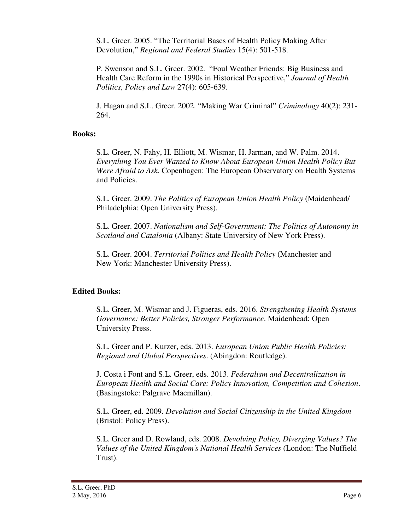S.L. Greer. 2005. "The Territorial Bases of Health Policy Making After Devolution," *Regional and Federal Studies* 15(4): 501-518.

P. Swenson and S.L. Greer. 2002. "Foul Weather Friends: Big Business and Health Care Reform in the 1990s in Historical Perspective," *Journal of Health Politics, Policy and Law* 27(4): 605-639.

J. Hagan and S.L. Greer. 2002. "Making War Criminal" *Criminology* 40(2): 231- 264.

## **Books:**

S.L. Greer, N. Fahy, H. Elliott, M. Wismar, H. Jarman, and W. Palm. 2014. *Everything You Ever Wanted to Know About European Union Health Policy But Were Afraid to Ask*. Copenhagen: The European Observatory on Health Systems and Policies.

 S.L. Greer. 2009. *The Politics of European Union Health Policy* (Maidenhead/ Philadelphia: Open University Press).

S.L. Greer. 2007. *Nationalism and Self-Government: The Politics of Autonomy in Scotland and Catalonia* (Albany: State University of New York Press).

S.L. Greer. 2004. *Territorial Politics and Health Policy* (Manchester and New York: Manchester University Press).

## **Edited Books:**

S.L. Greer, M. Wismar and J. Figueras, eds. 2016. *Strengthening Health Systems Governance: Better Policies, Stronger Performance*. Maidenhead: Open University Press.

S.L. Greer and P. Kurzer, eds. 2013. *European Union Public Health Policies: Regional and Global Perspectives*. (Abingdon: Routledge).

J. Costa i Font and S.L. Greer, eds. 2013. *Federalism and Decentralization in European Health and Social Care: Policy Innovation, Competition and Cohesion*. (Basingstoke: Palgrave Macmillan).

S.L. Greer, ed. 2009. *Devolution and Social Citizenship in the United Kingdom*  (Bristol: Policy Press).

S.L. Greer and D. Rowland, eds. 2008. *Devolving Policy, Diverging Values? The Values of the United Kingdom's National Health Services* (London: The Nuffield Trust).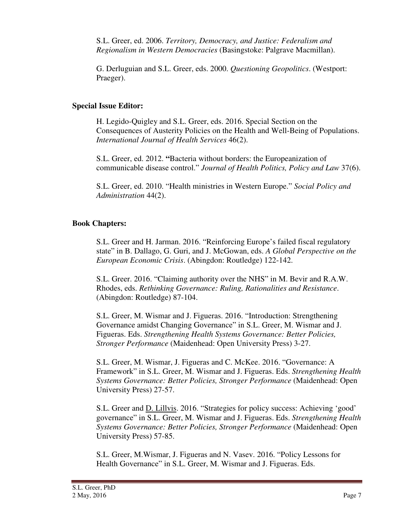S.L. Greer, ed. 2006. *Territory, Democracy, and Justice: Federalism and Regionalism in Western Democracies* (Basingstoke: Palgrave Macmillan).

G. Derluguian and S.L. Greer, eds. 2000. *Questioning Geopolitics*. (Westport: Praeger).

## **Special Issue Editor:**

H. Legido-Quigley and S.L. Greer, eds. 2016. Special Section on the Consequences of Austerity Policies on the Health and Well-Being of Populations. *International Journal of Health Services* 46(2).

S.L. Greer, ed. 2012. **"**Bacteria without borders: the Europeanization of communicable disease control." *Journal of Health Politics, Policy and Law* 37(6).

S.L. Greer, ed. 2010. "Health ministries in Western Europe." *Social Policy and Administration* 44(2).

## **Book Chapters:**

S.L. Greer and H. Jarman. 2016. "Reinforcing Europe's failed fiscal regulatory state" in B. Dallago, G. Guri, and J. McGowan, eds. *A Global Perspective on the European Economic Crisis*. (Abingdon: Routledge) 122-142.

S.L. Greer. 2016. "Claiming authority over the NHS" in M. Bevir and R.A.W. Rhodes, eds. *Rethinking Governance: Ruling, Rationalities and Resistance*. (Abingdon: Routledge) 87-104.

S.L. Greer, M. Wismar and J. Figueras. 2016. "Introduction: Strengthening Governance amidst Changing Governance" in S.L. Greer, M. Wismar and J. Figueras. Eds. *Strengthening Health Systems Governance: Better Policies, Stronger Performance* (Maidenhead: Open University Press) 3-27.

S.L. Greer, M. Wismar, J. Figueras and C. McKee. 2016. "Governance: A Framework" in S.L. Greer, M. Wismar and J. Figueras. Eds. *Strengthening Health Systems Governance: Better Policies, Stronger Performance* (Maidenhead: Open University Press) 27-57.

S.L. Greer and D. Lillvis. 2016. "Strategies for policy success: Achieving 'good' governance" in S.L. Greer, M. Wismar and J. Figueras. Eds. *Strengthening Health Systems Governance: Better Policies, Stronger Performance* (Maidenhead: Open University Press) 57-85.

S.L. Greer, M.Wismar, J. Figueras and N. Vasev. 2016. "Policy Lessons for Health Governance" in S.L. Greer, M. Wismar and J. Figueras. Eds.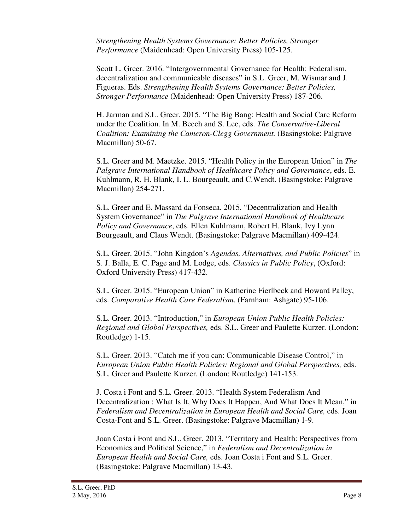*Strengthening Health Systems Governance: Better Policies, Stronger Performance* (Maidenhead: Open University Press) 105-125.

Scott L. Greer. 2016. "Intergovernmental Governance for Health: Federalism, decentralization and communicable diseases" in S.L. Greer, M. Wismar and J. Figueras. Eds. *Strengthening Health Systems Governance: Better Policies, Stronger Performance* (Maidenhead: Open University Press) 187-206.

H. Jarman and S.L. Greer. 2015. "The Big Bang: Health and Social Care Reform under the Coalition. In M. Beech and S. Lee, eds. *The Conservative-Liberal Coalition: Examining the Cameron-Clegg Government.* (Basingstoke: Palgrave Macmillan) 50-67.

S.L. Greer and M. Maetzke. 2015. "Health Policy in the European Union" in *The Palgrave International Handbook of Healthcare Policy and Governance*, eds. E. Kuhlmann, R. H. Blank, I. L. Bourgeault, and C.Wendt. (Basingstoke: Palgrave Macmillan) 254-271.

S.L. Greer and E. Massard da Fonseca. 2015. "Decentralization and Health System Governance" in *The Palgrave International Handbook of Healthcare Policy and Governance*, eds. Ellen Kuhlmann, Robert H. Blank, Ivy Lynn Bourgeault, and Claus Wendt. (Basingstoke: Palgrave Macmillan) 409-424.

S.L. Greer. 2015. "John Kingdon's *Agendas, Alternatives, and Public Policies*" in S. J. Balla, E. C. Page and M. Lodge, eds. *Classics in Public Policy*, (Oxford: Oxford University Press) 417-432.

S.L. Greer. 2015. "European Union" in Katherine Fierlbeck and Howard Palley, eds. *Comparative Health Care Federalism*. (Farnham: Ashgate) 95-106.

S.L. Greer. 2013. "Introduction," in *European Union Public Health Policies: Regional and Global Perspectives,* eds. S.L. Greer and Paulette Kurzer*.* (London: Routledge) 1-15.

S.L. Greer. 2013. "Catch me if you can: Communicable Disease Control," in *European Union Public Health Policies: Regional and Global Perspectives,* eds. S.L. Greer and Paulette Kurzer*.* (London: Routledge) 141-153.

J. Costa i Font and S.L. Greer. 2013. "Health System Federalism And Decentralization : What Is It, Why Does It Happen, And What Does It Mean," in *Federalism and Decentralization in European Health and Social Care,* eds. Joan Costa-Font and S.L. Greer. (Basingstoke: Palgrave Macmillan) 1-9.

Joan Costa i Font and S.L. Greer. 2013. "Territory and Health: Perspectives from Economics and Political Science," in *Federalism and Decentralization in European Health and Social Care,* eds. Joan Costa i Font and S.L. Greer. (Basingstoke: Palgrave Macmillan) 13-43.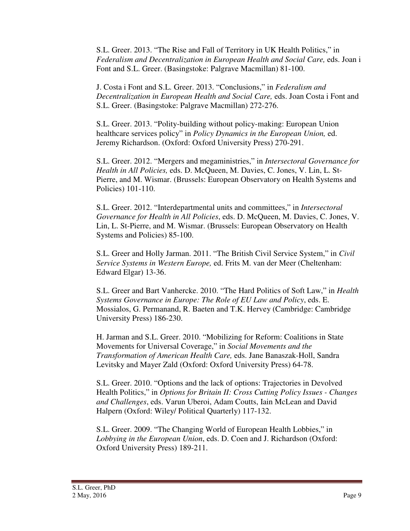S.L. Greer. 2013. "The Rise and Fall of Territory in UK Health Politics," in *Federalism and Decentralization in European Health and Social Care,* eds. Joan i Font and S.L. Greer. (Basingstoke: Palgrave Macmillan) 81-100.

J. Costa i Font and S.L. Greer. 2013. "Conclusions," in *Federalism and Decentralization in European Health and Social Care,* eds. Joan Costa i Font and S.L. Greer. (Basingstoke: Palgrave Macmillan) 272-276.

S.L. Greer. 2013. "Polity-building without policy-making: European Union healthcare services policy" in *Policy Dynamics in the European Union,* ed. Jeremy Richardson. (Oxford: Oxford University Press) 270-291.

S.L. Greer. 2012. "Mergers and megaministries," in *Intersectoral Governance for Health in All Policies,* eds. D. McQueen, M. Davies, C. Jones, V. Lin, L. St-Pierre, and M. Wismar. (Brussels: European Observatory on Health Systems and Policies) 101-110.

S.L. Greer. 2012. "Interdepartmental units and committees," in *Intersectoral Governance for Health in All Policies*, eds. D. McQueen, M. Davies, C. Jones, V. Lin, L. St-Pierre, and M. Wismar. (Brussels: European Observatory on Health Systems and Policies) 85-100.

S.L. Greer and Holly Jarman. 2011. "The British Civil Service System," in *Civil Service Systems in Western Europe,* ed. Frits M. van der Meer (Cheltenham: Edward Elgar) 13-36.

S.L. Greer and Bart Vanhercke. 2010. "The Hard Politics of Soft Law," in *Health Systems Governance in Europe: The Role of EU Law and Policy*, eds. E. Mossialos, G. Permanand, R. Baeten and T.K. Hervey (Cambridge: Cambridge University Press) 186-230.

H. Jarman and S.L. Greer. 2010. "Mobilizing for Reform: Coalitions in State Movements for Universal Coverage," in *Social Movements and the Transformation of American Health Care,* eds. Jane Banaszak-Holl, Sandra Levitsky and Mayer Zald (Oxford: Oxford University Press) 64-78.

S.L. Greer. 2010. "Options and the lack of options: Trajectories in Devolved Health Politics," in *Options for Britain II: Cross Cutting Policy Issues - Changes and Challenges*, eds. Varun Uberoi, Adam Coutts, Iain McLean and David Halpern (Oxford: Wiley/ Political Quarterly) 117-132.

S.L. Greer. 2009. "The Changing World of European Health Lobbies," in *Lobbying in the European Union*, eds. D. Coen and J. Richardson (Oxford: Oxford University Press) 189-211.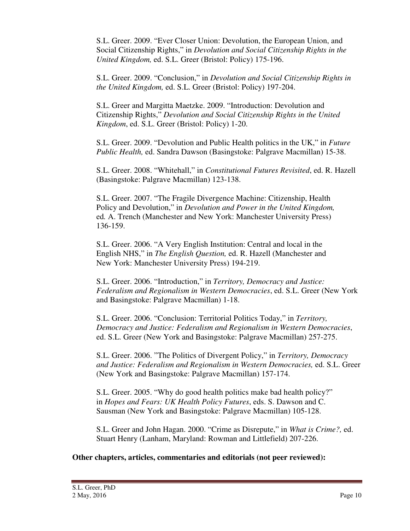S.L. Greer. 2009. "Ever Closer Union: Devolution, the European Union, and Social Citizenship Rights," in *Devolution and Social Citizenship Rights in the United Kingdom,* ed. S.L. Greer (Bristol: Policy) 175-196.

S.L. Greer. 2009. "Conclusion," in *Devolution and Social Citizenship Rights in the United Kingdom,* ed. S.L. Greer (Bristol: Policy) 197-204.

S.L. Greer and Margitta Maetzke. 2009. "Introduction: Devolution and Citizenship Rights," *Devolution and Social Citizenship Rights in the United Kingdom*, ed. S.L. Greer (Bristol: Policy) 1-20.

S.L. Greer. 2009. "Devolution and Public Health politics in the UK," in *Future Public Health,* ed. Sandra Dawson (Basingstoke: Palgrave Macmillan) 15-38.

S.L. Greer. 2008. "Whitehall," in *Constitutional Futures Revisited*, ed. R. Hazell (Basingstoke: Palgrave Macmillan) 123-138.

S.L. Greer. 2007. "The Fragile Divergence Machine: Citizenship, Health Policy and Devolution," in *Devolution and Power in the United Kingdom,*  ed*.* A. Trench (Manchester and New York: Manchester University Press) 136-159.

S.L. Greer. 2006. "A Very English Institution: Central and local in the English NHS," in *The English Question,* ed. R. Hazell (Manchester and New York: Manchester University Press) 194-219.

S.L. Greer. 2006. "Introduction," in *Territory, Democracy and Justice: Federalism and Regionalism in Western Democracies*, ed. S.L. Greer (New York and Basingstoke: Palgrave Macmillan) 1-18.

S.L. Greer. 2006. "Conclusion: Territorial Politics Today," in *Territory, Democracy and Justice: Federalism and Regionalism in Western Democracies*, ed. S.L. Greer (New York and Basingstoke: Palgrave Macmillan) 257-275.

S.L. Greer. 2006. "The Politics of Divergent Policy," in *Territory, Democracy and Justice: Federalism and Regionalism in Western Democracies,* ed. S.L. Greer (New York and Basingstoke: Palgrave Macmillan) 157-174.

S.L. Greer. 2005. "Why do good health politics make bad health policy?" in *Hopes and Fears: UK Health Policy Futures*, eds. S. Dawson and C. Sausman (New York and Basingstoke: Palgrave Macmillan) 105-128.

S.L. Greer and John Hagan. 2000. "Crime as Disrepute," in *What is Crime?,* ed. Stuart Henry (Lanham, Maryland: Rowman and Littlefield) 207-226.

## **Other chapters, articles, commentaries and editorials (not peer reviewed):**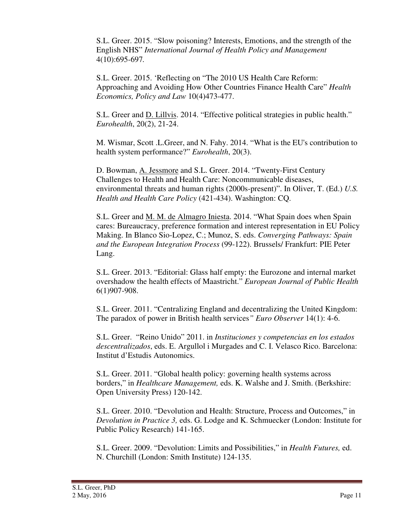S.L. Greer. 2015. "Slow poisoning? Interests, Emotions, and the strength of the English NHS" *International Journal of Health Policy and Management*  4(10):695-697*.* 

S.L. Greer. 2015. 'Reflecting on "The 2010 US Health Care Reform: Approaching and Avoiding How Other Countries Finance Health Care" *Health Economics, Policy and Law* 10(4)473-477.

S.L. Greer and D. Lillvis. 2014. "Effective political strategies in public health." *Eurohealth*, 20(2), 21-24.

M. Wismar, Scott .L.Greer, and N. Fahy. 2014. "What is the EU's contribution to health system performance?" *Eurohealth*, 20(3).

D. Bowman, A. Jessmore and S.L. Greer. 2014. "Twenty-First Century Challenges to Health and Health Care: Noncommunicable diseases, environmental threats and human rights (2000s-present)". In Oliver, T. (Ed.) *U.S. Health and Health Care Policy* (421-434). Washington: CQ.

S.L. Greer and M. M. de Almagro Iniesta. 2014. "What Spain does when Spain cares: Bureaucracy, preference formation and interest representation in EU Policy Making. In Blanco Sio-Lopez, C.; Munoz, S. eds. *Converging Pathways: Spain and the European Integration Process* (99-122). Brussels/ Frankfurt: PIE Peter Lang.

S.L. Greer. 2013. "Editorial: Glass half empty: the Eurozone and internal market overshadow the health effects of Maastricht." *European Journal of Public Health*  6(1)907-908.

S.L. Greer. 2011. "Centralizing England and decentralizing the United Kingdom: The paradox of power in British health services*" Euro Observer* 14(1): 4-6.

S.L. Greer. "Reino Unido" 2011. in *Instituciones y competencias en los estados descentralizados*, eds. E. Argullol i Murgades and C. I. Velasco Rico. Barcelona: Institut d'Estudis Autonomics.

S.L. Greer. 2011. "Global health policy: governing health systems across borders," in *Healthcare Management,* eds. K. Walshe and J. Smith. (Berkshire: Open University Press) 120-142.

S.L. Greer. 2010. "Devolution and Health: Structure, Process and Outcomes," in *Devolution in Practice 3,* eds. G. Lodge and K. Schmuecker (London: Institute for Public Policy Research) 141-165.

S.L. Greer. 2009. "Devolution: Limits and Possibilities," in *Health Futures,* ed. N. Churchill (London: Smith Institute) 124-135.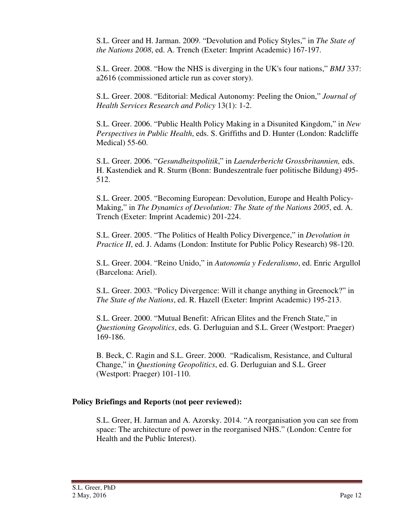S.L. Greer and H. Jarman. 2009. "Devolution and Policy Styles," in *The State of the Nations 2008*, ed. A. Trench (Exeter: Imprint Academic) 167-197.

S.L. Greer. 2008. "How the NHS is diverging in the UK's four nations," *BMJ* 337: a2616 (commissioned article run as cover story).

S.L. Greer. 2008. "Editorial: Medical Autonomy: Peeling the Onion," *Journal of Health Services Research and Policy* 13(1): 1-2.

S.L. Greer. 2006. "Public Health Policy Making in a Disunited Kingdom," in *New Perspectives in Public Health*, eds. S. Griffiths and D. Hunter (London: Radcliffe Medical) 55-60.

S.L. Greer. 2006. "*Gesundheitspolitik*," in *Laenderbericht Grossbritannien,* eds. H. Kastendiek and R. Sturm (Bonn: Bundeszentrale fuer politische Bildung) 495- 512.

S.L. Greer. 2005. "Becoming European: Devolution, Europe and Health Policy-Making," in *The Dynamics of Devolution: The State of the Nations 2005*, ed. A. Trench (Exeter: Imprint Academic) 201-224.

S.L. Greer. 2005. "The Politics of Health Policy Divergence," in *Devolution in Practice II*, ed. J. Adams (London: Institute for Public Policy Research) 98-120.

S.L. Greer. 2004. "Reino Unido," in *Autonomía y Federalismo*, ed. Enric Argullol (Barcelona: Ariel).

S.L. Greer. 2003. "Policy Divergence: Will it change anything in Greenock?" in *The State of the Nations*, ed. R. Hazell (Exeter: Imprint Academic) 195-213.

S.L. Greer. 2000. "Mutual Benefit: African Elites and the French State," in *Questioning Geopolitics*, eds. G. Derluguian and S.L. Greer (Westport: Praeger) 169-186.

B. Beck, C. Ragin and S.L. Greer. 2000. "Radicalism, Resistance, and Cultural Change," in *Questioning Geopolitics*, ed. G. Derluguian and S.L. Greer (Westport: Praeger) 101-110.

## **Policy Briefings and Reports (not peer reviewed):**

S.L. Greer, H. Jarman and A. Azorsky. 2014. "A reorganisation you can see from space: The architecture of power in the reorganised NHS." (London: Centre for Health and the Public Interest).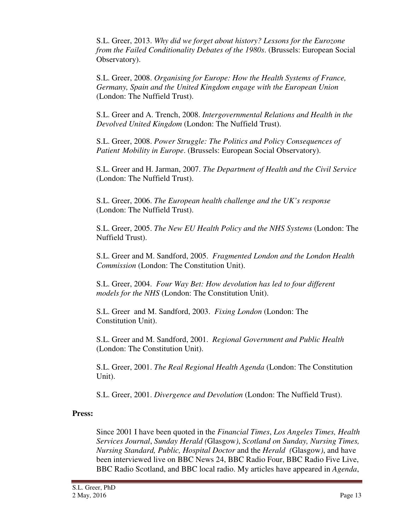S.L. Greer, 2013. *Why did we forget about history? Lessons for the Eurozone from the Failed Conditionality Debates of the 1980s*. (Brussels: European Social Observatory).

S.L. Greer, 2008. *Organising for Europe: How the Health Systems of France, Germany, Spain and the United Kingdom engage with the European Union* (London: The Nuffield Trust).

S.L. Greer and A. Trench, 2008. *Intergovernmental Relations and Health in the Devolved United Kingdom* (London: The Nuffield Trust).

S.L. Greer, 2008. *Power Struggle: The Politics and Policy Consequences of Patient Mobility in Europe*. (Brussels: European Social Observatory).

S.L. Greer and H. Jarman, 2007. *The Department of Health and the Civil Service* (London: The Nuffield Trust).

S.L. Greer, 2006. *The European health challenge and the UK's response* (London: The Nuffield Trust).

S.L. Greer, 2005. *The New EU Health Policy and the NHS Systems* (London: The Nuffield Trust).

S.L. Greer and M. Sandford, 2005. *Fragmented London and the London Health Commission* (London: The Constitution Unit).

S.L. Greer, 2004. *Four Way Bet: How devolution has led to four different models for the NHS* (London: The Constitution Unit).

S.L. Greer and M. Sandford, 2003. *Fixing London* (London: The Constitution Unit).

S.L. Greer and M. Sandford, 2001. *Regional Government and Public Health* (London: The Constitution Unit).

S.L. Greer, 2001. *The Real Regional Health Agenda* (London: The Constitution Unit).

S.L. Greer, 2001. *Divergence and Devolution* (London: The Nuffield Trust).

## **Press:**

Since 2001 I have been quoted in the *Financial Times*, *Los Angeles Times, Health Services Journal*, *Sunday Herald (*Glasgow*)*, *Scotland on Sunday, Nursing Times, Nursing Standard, Public, Hospital Doctor* and the *Herald (*Glasgow*)*, and have been interviewed live on BBC News 24, BBC Radio Four, BBC Radio Five Live, BBC Radio Scotland, and BBC local radio. My articles have appeared in *Agenda*,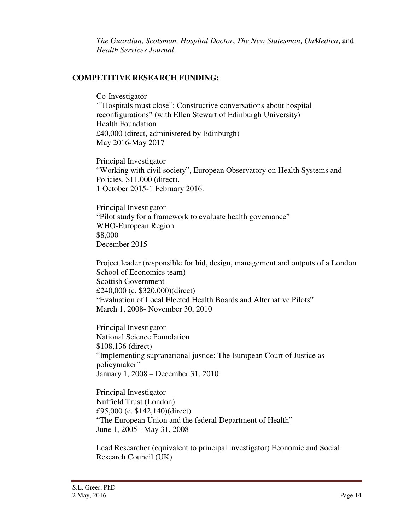*The Guardian, Scotsman, Hospital Doctor*, *The New Statesman*, *OnMedica*, and *Health Services Journal*.

## **COMPETITIVE RESEARCH FUNDING:**

Co-Investigator '"Hospitals must close": Constructive conversations about hospital reconfigurations" (with Ellen Stewart of Edinburgh University) Health Foundation £40,000 (direct, administered by Edinburgh) May 2016-May 2017

Principal Investigator "Working with civil society", European Observatory on Health Systems and Policies. \$11,000 (direct). 1 October 2015-1 February 2016.

Principal Investigator "Pilot study for a framework to evaluate health governance" WHO-European Region \$8,000 December 2015

Project leader (responsible for bid, design, management and outputs of a London School of Economics team) Scottish Government £240,000 (c. \$320,000)(direct) "Evaluation of Local Elected Health Boards and Alternative Pilots" March 1, 2008- November 30, 2010

Principal Investigator National Science Foundation \$108,136 (direct) "Implementing supranational justice: The European Court of Justice as policymaker" January 1, 2008 – December 31, 2010

Principal Investigator Nuffield Trust (London) £95,000 (c. \$142,140)(direct) "The European Union and the federal Department of Health" June 1, 2005 - May 31, 2008

Lead Researcher (equivalent to principal investigator) Economic and Social Research Council (UK)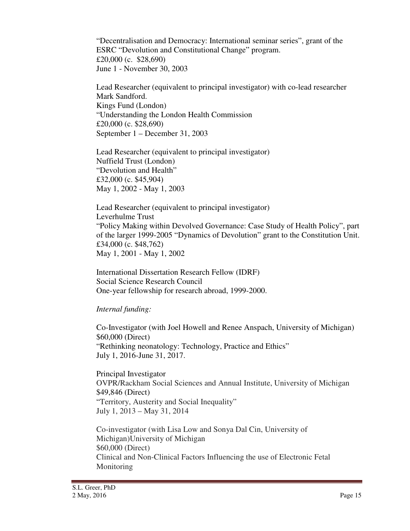"Decentralisation and Democracy: International seminar series", grant of the ESRC "Devolution and Constitutional Change" program. £20,000 (c. \$28,690) June 1 - November 30, 2003

Lead Researcher (equivalent to principal investigator) with co-lead researcher Mark Sandford. Kings Fund (London) "Understanding the London Health Commission £20,000 (c. \$28,690) September 1 – December 31, 2003

Lead Researcher (equivalent to principal investigator) Nuffield Trust (London) "Devolution and Health" £32,000 (c. \$45,904) May 1, 2002 - May 1, 2003

Lead Researcher (equivalent to principal investigator) Leverhulme Trust "Policy Making within Devolved Governance: Case Study of Health Policy", part of the larger 1999-2005 "Dynamics of Devolution" grant to the Constitution Unit. £34,000 (c. \$48,762) May 1, 2001 - May 1, 2002

International Dissertation Research Fellow (IDRF) Social Science Research Council One-year fellowship for research abroad, 1999-2000.

*Internal funding:* 

Co-Investigator (with Joel Howell and Renee Anspach, University of Michigan) \$60,000 (Direct) "Rethinking neonatology: Technology, Practice and Ethics" July 1, 2016-June 31, 2017.

 Principal Investigator OVPR/Rackham Social Sciences and Annual Institute, University of Michigan \$49,846 (Direct) "Territory, Austerity and Social Inequality" July 1, 2013 – May 31, 2014

Co-investigator (with Lisa Low and Sonya Dal Cin, University of Michigan)University of Michigan \$60,000 (Direct) Clinical and Non-Clinical Factors Influencing the use of Electronic Fetal Monitoring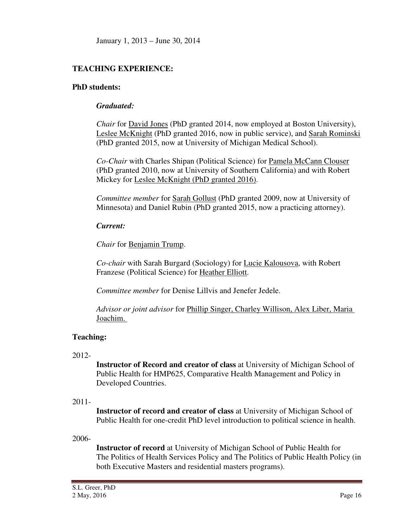## **TEACHING EXPERIENCE:**

## **PhD students:**

## *Graduated:*

*Chair* for David Jones (PhD granted 2014, now employed at Boston University), Leslee McKnight (PhD granted 2016, now in public service), and Sarah Rominski (PhD granted 2015, now at University of Michigan Medical School).

*Co-Chair* with Charles Shipan (Political Science) for Pamela McCann Clouser (PhD granted 2010, now at University of Southern California) and with Robert Mickey for Leslee McKnight (PhD granted 2016).

*Committee member* for Sarah Gollust (PhD granted 2009, now at University of Minnesota) and Daniel Rubin (PhD granted 2015, now a practicing attorney).

## *Current:*

*Chair* for Benjamin Trump.

*Co-chair* with Sarah Burgard (Sociology) for Lucie Kalousova, with Robert Franzese (Political Science) for Heather Elliott.

*Committee member* for Denise Lillvis and Jenefer Jedele.

*Advisor or joint advisor* for Phillip Singer, Charley Willison, Alex Liber, Maria Joachim.

## **Teaching:**

**Instructor of Record and creator of class** at University of Michigan School of Public Health for HMP625, Comparative Health Management and Policy in Developed Countries.

## 2011-

**Instructor of record and creator of class** at University of Michigan School of Public Health for one-credit PhD level introduction to political science in health.

## 2006-

**Instructor of record** at University of Michigan School of Public Health for The Politics of Health Services Policy and The Politics of Public Health Policy (in both Executive Masters and residential masters programs).

<sup>2012-</sup>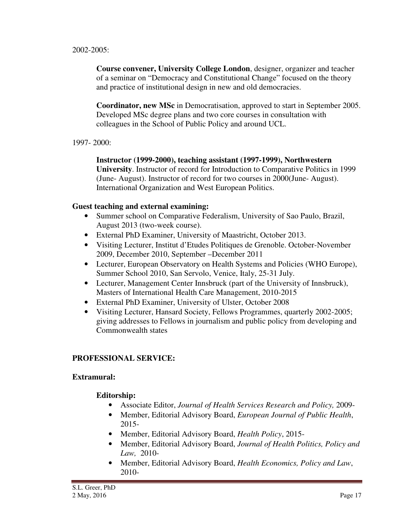### 2002-2005:

**Course convener, University College London**, designer, organizer and teacher of a seminar on "Democracy and Constitutional Change" focused on the theory and practice of institutional design in new and old democracies.

**Coordinator, new MSc** in Democratisation, approved to start in September 2005. Developed MSc degree plans and two core courses in consultation with colleagues in the School of Public Policy and around UCL.

### 1997- 2000:

**Instructor (1999-2000), teaching assistant (1997-1999), Northwestern University**. Instructor of record for Introduction to Comparative Politics in 1999 (June- August). Instructor of record for two courses in 2000(June- August). International Organization and West European Politics.

### **Guest teaching and external examining:**

- Summer school on Comparative Federalism, University of Sao Paulo, Brazil, August 2013 (two-week course).
- External PhD Examiner, University of Maastricht, October 2013.
- Visiting Lecturer, Institut d'Etudes Politiques de Grenoble. October-November 2009, December 2010, September –December 2011
- Lecturer, European Observatory on Health Systems and Policies (WHO Europe), Summer School 2010, San Servolo, Venice, Italy, 25-31 July.
- Lecturer, Management Center Innsbruck (part of the University of Innsbruck), Masters of International Health Care Management, 2010-2015
- External PhD Examiner, University of Ulster, October 2008
- Visiting Lecturer, Hansard Society, Fellows Programmes, quarterly 2002-2005; giving addresses to Fellows in journalism and public policy from developing and Commonwealth states

### **PROFESSIONAL SERVICE:**

### **Extramural:**

## **Editorship:**

- Associate Editor, *Journal of Health Services Research and Policy,* 2009-
- Member, Editorial Advisory Board, *European Journal of Public Health*, 2015-
- Member, Editorial Advisory Board, *Health Policy*, 2015-
- Member, Editorial Advisory Board, *Journal of Health Politics, Policy and Law,* 2010-
- Member, Editorial Advisory Board, *Health Economics, Policy and Law*, 2010-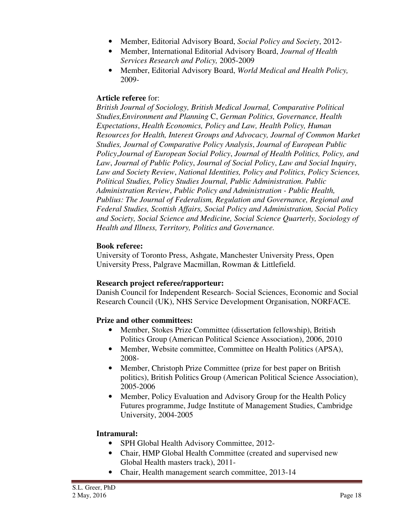- Member, Editorial Advisory Board, *Social Policy and Society*, 2012-
- Member, International Editorial Advisory Board, *Journal of Health Services Research and Policy,* 2005-2009
- Member, Editorial Advisory Board, *World Medical and Health Policy,* 2009-

## **Article referee** for:

*British Journal of Sociology, British Medical Journal, Comparative Political Studies,Environment and Planning* C, *German Politics, Governance, Health Expectations*, *Health Economics, Policy and Law, Health Policy, Human Resources for Health, Interest Groups and Advocacy, Journal of Common Market Studies, Journal of Comparative Policy Analysis*, *Journal of European Public Policy*,*Journal of European Social Policy*, *Journal of Health Politics, Policy, and Law*, *Journal of Public Policy*, *Journal of Social Policy*, *Law and Social Inquiry*, *Law and Society Review*, *National Identities, Policy and Politics, Policy Sciences, Political Studies, Policy Studies Journal, Public Administration. Public Administration Review*, *Public Policy and Administration - Public Health, Publius: The Journal of Federalism, Regulation and Governance, Regional and Federal Studies, Scottish Affairs, Social Policy and Administration, Social Policy and Society, Social Science and Medicine, Social Science Quarterly, Sociology of Health and Illness, Territory, Politics and Governance.*

## **Book referee:**

University of Toronto Press, Ashgate, Manchester University Press, Open University Press, Palgrave Macmillan, Rowman & Littlefield.

## **Research project referee/rapporteur:**

Danish Council for Independent Research- Social Sciences, Economic and Social Research Council (UK), NHS Service Development Organisation, NORFACE.

## **Prize and other committees:**

- Member, Stokes Prize Committee (dissertation fellowship), British Politics Group (American Political Science Association), 2006, 2010
- Member, Website committee, Committee on Health Politics (APSA), 2008-
- Member, Christoph Prize Committee (prize for best paper on British politics), British Politics Group (American Political Science Association), 2005-2006
- Member, Policy Evaluation and Advisory Group for the Health Policy Futures programme, Judge Institute of Management Studies, Cambridge University, 2004-2005

## **Intramural:**

- SPH Global Health Advisory Committee, 2012-
- Chair, HMP Global Health Committee (created and supervised new Global Health masters track), 2011-
- Chair, Health management search committee, 2013-14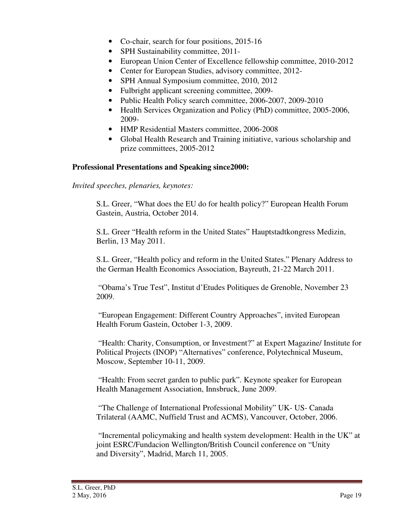- Co-chair, search for four positions, 2015-16
- SPH Sustainability committee, 2011-
- European Union Center of Excellence fellowship committee, 2010-2012
- Center for European Studies, advisory committee, 2012-
- SPH Annual Symposium committee, 2010, 2012
- Fulbright applicant screening committee, 2009-
- Public Health Policy search committee, 2006-2007, 2009-2010
- Health Services Organization and Policy (PhD) committee, 2005-2006, 2009-
- HMP Residential Masters committee, 2006-2008
- Global Health Research and Training initiative, various scholarship and prize committees, 2005-2012

## **Professional Presentations and Speaking since2000:**

*Invited speeches, plenaries, keynotes:* 

S.L. Greer, "What does the EU do for health policy?" European Health Forum Gastein, Austria, October 2014.

S.L. Greer "Health reform in the United States" Hauptstadtkongress Medizin, Berlin, 13 May 2011.

S.L. Greer, "Health policy and reform in the United States." Plenary Address to the German Health Economics Association, Bayreuth, 21-22 March 2011.

 "Obama's True Test", Institut d'Etudes Politiques de Grenoble, November 23 2009.

 "European Engagement: Different Country Approaches", invited European Health Forum Gastein, October 1-3, 2009.

 "Health: Charity, Consumption, or Investment?" at Expert Magazine/ Institute for Political Projects (INOP) "Alternatives" conference, Polytechnical Museum, Moscow, September 10-11, 2009.

 "Health: From secret garden to public park". Keynote speaker for European Health Management Association, Innsbruck, June 2009.

 "The Challenge of International Professional Mobility" UK- US- Canada Trilateral (AAMC, Nuffield Trust and ACMS), Vancouver, October, 2006.

 "Incremental policymaking and health system development: Health in the UK" at joint ESRC/Fundacion Wellington/British Council conference on "Unity and Diversity", Madrid, March 11, 2005.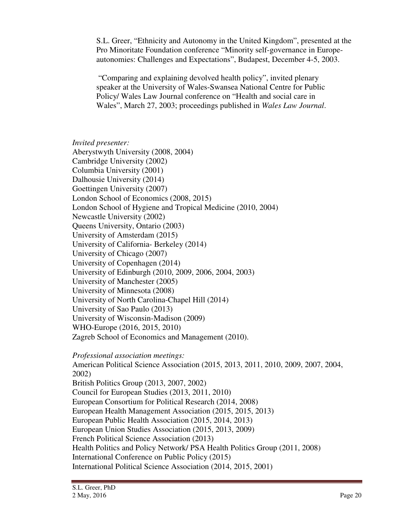S.L. Greer, "Ethnicity and Autonomy in the United Kingdom", presented at the Pro Minoritate Foundation conference "Minority self-governance in Europeautonomies: Challenges and Expectations", Budapest, December 4-5, 2003.

 "Comparing and explaining devolved health policy", invited plenary speaker at the University of Wales-Swansea National Centre for Public Policy/ Wales Law Journal conference on "Health and social care in Wales", March 27, 2003; proceedings published in *Wales Law Journal*.

*Invited presenter:*  Aberystwyth University (2008, 2004) Cambridge University (2002) Columbia University (2001) Dalhousie University (2014) Goettingen University (2007) London School of Economics (2008, 2015) London School of Hygiene and Tropical Medicine (2010, 2004) Newcastle University (2002) Queens University, Ontario (2003) University of Amsterdam (2015) University of California- Berkeley (2014) University of Chicago (2007) University of Copenhagen (2014) University of Edinburgh (2010, 2009, 2006, 2004, 2003) University of Manchester (2005) University of Minnesota (2008) University of North Carolina-Chapel Hill (2014) University of Sao Paulo (2013) University of Wisconsin-Madison (2009) WHO-Europe (2016, 2015, 2010) Zagreb School of Economics and Management (2010). *Professional association meetings:*  American Political Science Association (2015, 2013, 2011, 2010, 2009, 2007, 2004, 2002) British Politics Group (2013, 2007, 2002) Council for European Studies (2013, 2011, 2010) European Consortium for Political Research (2014, 2008)

European Health Management Association (2015, 2015, 2013)

European Public Health Association (2015, 2014, 2013)

European Union Studies Association (2015, 2013, 2009)

French Political Science Association (2013)

Health Politics and Policy Network/ PSA Health Politics Group (2011, 2008)

International Conference on Public Policy (2015)

International Political Science Association (2014, 2015, 2001)